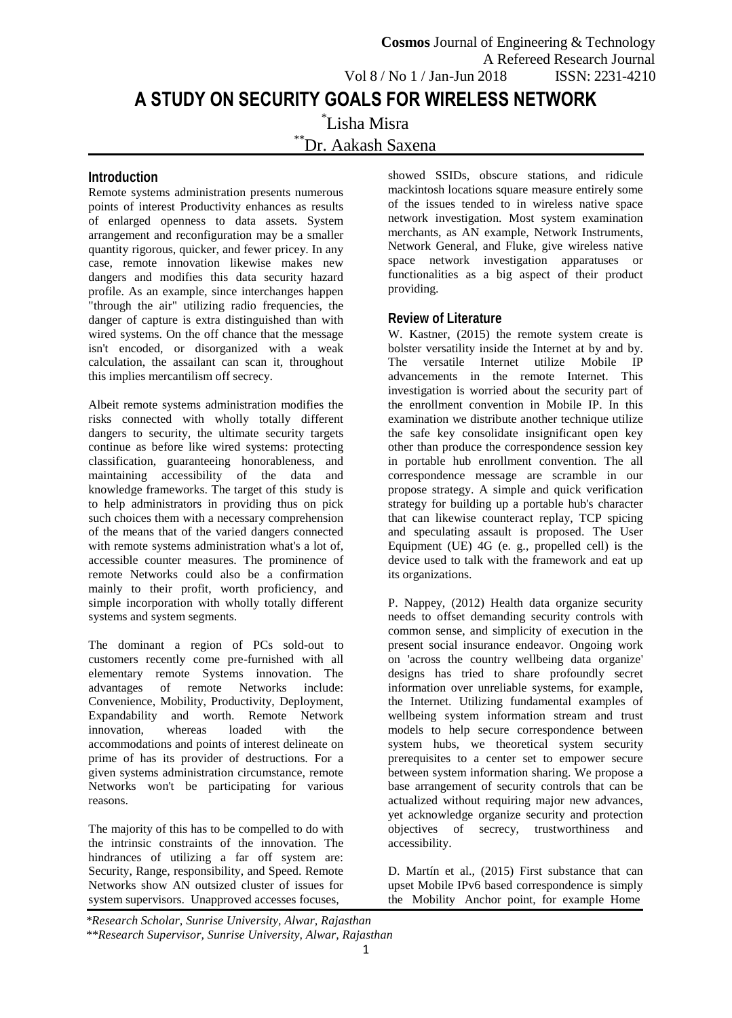# **Introduction**

Remote systems administration presents numerous points of interest Productivity enhances as results of enlarged openness to data assets. System arrangement and reconfiguration may be a smaller quantity rigorous, quicker, and fewer pricey. In any case, remote innovation likewise makes new dangers and modifies this data security hazard profile. As an example, since interchanges happen "through the air" utilizing radio frequencies, the danger of capture is extra distinguished than with wired systems. On the off chance that the message isn't encoded, or disorganized with a weak calculation, the assailant can scan it, throughout this implies mercantilism off secrecy.

Albeit remote systems administration modifies the risks connected with wholly totally different dangers to security, the ultimate security targets continue as before like wired systems: protecting classification, guaranteeing honorableness, and maintaining accessibility of the data and knowledge frameworks. The target of this study is to help administrators in providing thus on pick such choices them with a necessary comprehension of the means that of the varied dangers connected with remote systems administration what's a lot of, accessible counter measures. The prominence of remote Networks could also be a confirmation mainly to their profit, worth proficiency, and simple incorporation with wholly totally different systems and system segments.

The dominant a region of PCs sold-out to customers recently come pre-furnished with all elementary remote Systems innovation. The advantages of remote Networks include: Convenience, Mobility, Productivity, Deployment, Expandability and worth. Remote Network innovation, whereas loaded with the accommodations and points of interest delineate on prime of has its provider of destructions. For a given systems administration circumstance, remote Networks won't be participating for various reasons.

The majority of this has to be compelled to do with the intrinsic constraints of the innovation. The hindrances of utilizing a far off system are: Security, Range, responsibility, and Speed. Remote Networks show AN outsized cluster of issues for system supervisors. Unapproved accesses focuses,

showed SSIDs, obscure stations, and ridicule mackintosh locations square measure entirely some of the issues tended to in wireless native space network investigation. Most system examination merchants, as AN example, Network Instruments, Network General, and Fluke, give wireless native space network investigation apparatuses or functionalities as a big aspect of their product providing.

## **Review of Literature**

W. Kastner, (2015) the remote system create is bolster versatility inside the Internet at by and by. The versatile Internet utilize Mobile IP advancements in the remote Internet. This investigation is worried about the security part of the enrollment convention in Mobile IP. In this examination we distribute another technique utilize the safe key consolidate insignificant open key other than produce the correspondence session key in portable hub enrollment convention. The all correspondence message are scramble in our propose strategy. A simple and quick verification strategy for building up a portable hub's character that can likewise counteract replay, TCP spicing and speculating assault is proposed. The User Equipment (UE) 4G (e. g., propelled cell) is the device used to talk with the framework and eat up its organizations.

P. Nappey, (2012) Health data organize security needs to offset demanding security controls with common sense, and simplicity of execution in the present social insurance endeavor. Ongoing work on 'across the country wellbeing data organize' designs has tried to share profoundly secret information over unreliable systems, for example, the Internet. Utilizing fundamental examples of wellbeing system information stream and trust models to help secure correspondence between system hubs, we theoretical system security prerequisites to a center set to empower secure between system information sharing. We propose a base arrangement of security controls that can be actualized without requiring major new advances, yet acknowledge organize security and protection objectives of secrecy, trustworthiness and accessibility.

D. Martín et al., (2015) First substance that can upset Mobile IPv6 based correspondence is simply the Mobility Anchor point, for example Home

*\*Research Scholar, Sunrise University, Alwar, Rajasthan \*\*Research Supervisor, Sunrise University, Alwar, Rajasthan*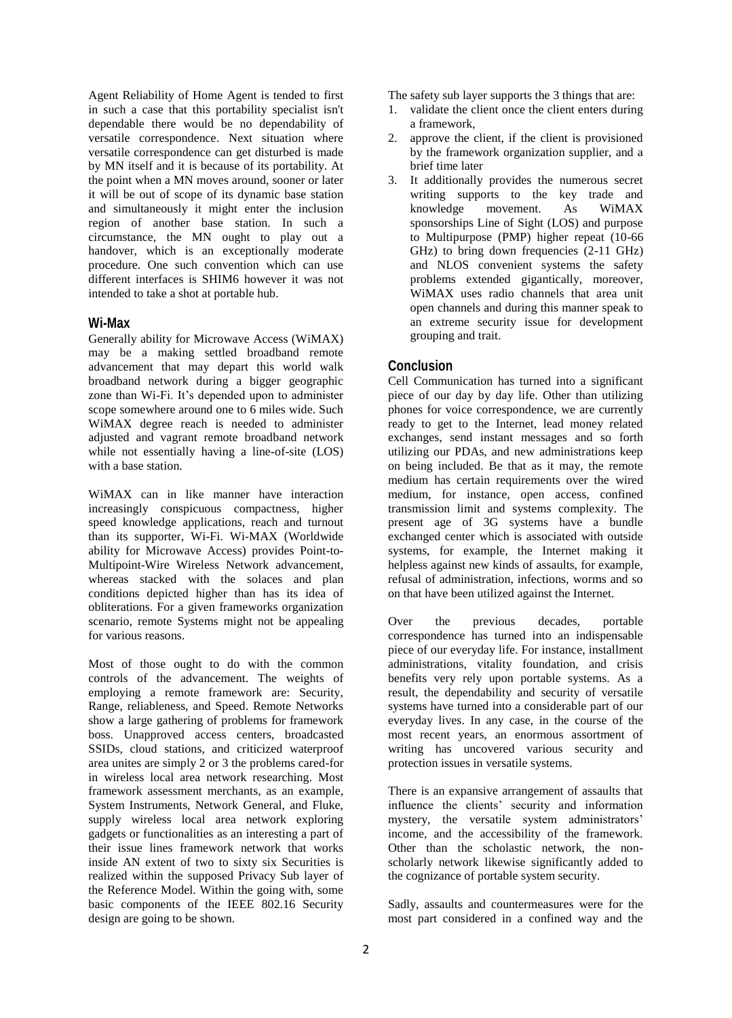Agent Reliability of Home Agent is tended to first in such a case that this portability specialist isn't dependable there would be no dependability of versatile correspondence. Next situation where versatile correspondence can get disturbed is made by MN itself and it is because of its portability. At the point when a MN moves around, sooner or later it will be out of scope of its dynamic base station and simultaneously it might enter the inclusion region of another base station. In such a circumstance, the MN ought to play out a handover, which is an exceptionally moderate procedure. One such convention which can use different interfaces is SHIM6 however it was not intended to take a shot at portable hub.

#### **Wi-Max**

Generally ability for Microwave Access (WiMAX) may be a making settled broadband remote advancement that may depart this world walk broadband network during a bigger geographic zone than Wi-Fi. It's depended upon to administer scope somewhere around one to 6 miles wide. Such WiMAX degree reach is needed to administer adjusted and vagrant remote broadband network while not essentially having a line-of-site (LOS) with a base station.

WiMAX can in like manner have interaction increasingly conspicuous compactness, higher speed knowledge applications, reach and turnout than its supporter, Wi-Fi. Wi-MAX (Worldwide ability for Microwave Access) provides Point-to-Multipoint-Wire Wireless Network advancement, whereas stacked with the solaces and plan conditions depicted higher than has its idea of obliterations. For a given frameworks organization scenario, remote Systems might not be appealing for various reasons.

Most of those ought to do with the common controls of the advancement. The weights of employing a remote framework are: Security, Range, reliableness, and Speed. Remote Networks show a large gathering of problems for framework boss. Unapproved access centers, broadcasted SSIDs, cloud stations, and criticized waterproof area unites are simply 2 or 3 the problems cared-for in wireless local area network researching. Most framework assessment merchants, as an example, System Instruments, Network General, and Fluke, supply wireless local area network exploring gadgets or functionalities as an interesting a part of their issue lines framework network that works inside AN extent of two to sixty six Securities is realized within the supposed Privacy Sub layer of the Reference Model. Within the going with, some basic components of the IEEE 802.16 Security design are going to be shown.

The safety sub layer supports the 3 things that are:

- 1. validate the client once the client enters during a framework,
- 2. approve the client, if the client is provisioned by the framework organization supplier, and a brief time later
- 3. It additionally provides the numerous secret writing supports to the key trade and knowledge movement. As WiMAX sponsorships Line of Sight (LOS) and purpose to Multipurpose (PMP) higher repeat (10-66 GHz) to bring down frequencies (2-11 GHz) and NLOS convenient systems the safety problems extended gigantically, moreover, WiMAX uses radio channels that area unit open channels and during this manner speak to an extreme security issue for development grouping and trait.

## **Conclusion**

Cell Communication has turned into a significant piece of our day by day life. Other than utilizing phones for voice correspondence, we are currently ready to get to the Internet, lead money related exchanges, send instant messages and so forth utilizing our PDAs, and new administrations keep on being included. Be that as it may, the remote medium has certain requirements over the wired medium, for instance, open access, confined transmission limit and systems complexity. The present age of 3G systems have a bundle exchanged center which is associated with outside systems, for example, the Internet making it helpless against new kinds of assaults, for example, refusal of administration, infections, worms and so on that have been utilized against the Internet.

Over the previous decades, portable correspondence has turned into an indispensable piece of our everyday life. For instance, installment administrations, vitality foundation, and crisis benefits very rely upon portable systems. As a result, the dependability and security of versatile systems have turned into a considerable part of our everyday lives. In any case, in the course of the most recent years, an enormous assortment of writing has uncovered various security and protection issues in versatile systems.

There is an expansive arrangement of assaults that influence the clients' security and information mystery, the versatile system administrators' income, and the accessibility of the framework. Other than the scholastic network, the nonscholarly network likewise significantly added to the cognizance of portable system security.

Sadly, assaults and countermeasures were for the most part considered in a confined way and the